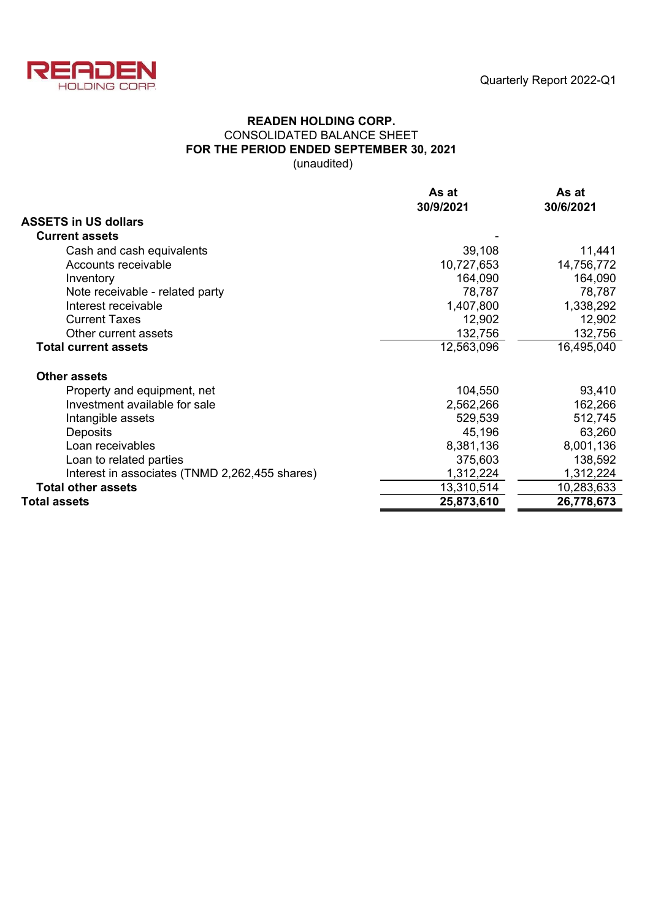

## **READEN HOLDING CORP.** CONSOLIDATED BALANCE SHEET **FOR THE PERIOD ENDED SEPTEMBER 30, 2021** (unaudited)

|                                                | As at      | As at      |  |
|------------------------------------------------|------------|------------|--|
|                                                | 30/9/2021  | 30/6/2021  |  |
| <b>ASSETS in US dollars</b>                    |            |            |  |
| <b>Current assets</b>                          |            |            |  |
| Cash and cash equivalents                      | 39,108     | 11,441     |  |
| Accounts receivable                            | 10,727,653 | 14,756,772 |  |
| Inventory                                      | 164,090    | 164,090    |  |
| Note receivable - related party                | 78,787     | 78,787     |  |
| Interest receivable                            | 1,407,800  | 1,338,292  |  |
| <b>Current Taxes</b>                           | 12,902     | 12,902     |  |
| Other current assets                           | 132,756    | 132,756    |  |
| <b>Total current assets</b>                    | 12,563,096 | 16,495,040 |  |
| <b>Other assets</b>                            |            |            |  |
| Property and equipment, net                    | 104,550    | 93,410     |  |
| Investment available for sale                  | 2,562,266  | 162,266    |  |
| Intangible assets                              | 529,539    | 512,745    |  |
| Deposits                                       | 45,196     | 63,260     |  |
| Loan receivables                               | 8,381,136  | 8,001,136  |  |
| Loan to related parties                        | 375,603    | 138,592    |  |
| Interest in associates (TNMD 2,262,455 shares) | 1,312,224  | 1,312,224  |  |
| <b>Total other assets</b>                      | 13,310,514 | 10,283,633 |  |
| <b>Total assets</b>                            | 25,873,610 | 26,778,673 |  |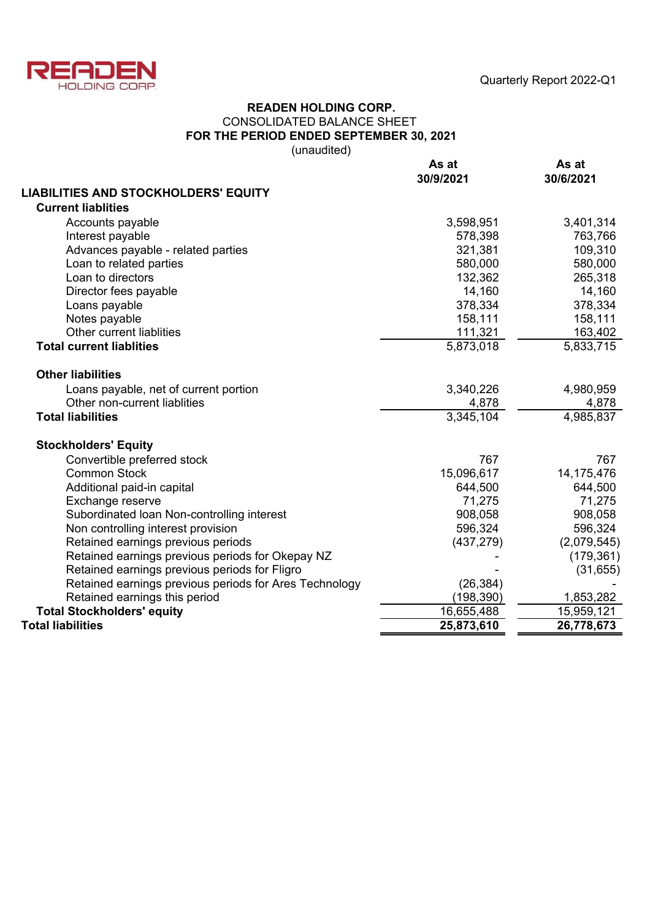



### CONSOLIDATED BALANCE SHEET **FOR THE PERIOD ENDED SEPTEMBER 30, 2021** (unaudited) **READEN HOLDING CORP.**

**As at As at 30/9/2021 30/6/2021 LIABILITIES AND STOCKHOLDERS' EQUITY Current liablities** Accounts payable 3,598,951 3,401,314 Interest payable 578,398 763,766 Advances payable - related parties 321,381 109,310 Loan to related parties 580,000 580,000 Loan to directors 132,362 265,318 Director fees payable 14,160 14,160 14,160 Loans payable 378,334 378,334 Notes payable 158,111 158,111 158,111 158,111 158,111 158,111 158,111 158,111 158,111 158,111 158,111 158,111 158,111 158,111 158,111 158,111 158,111 158,111 158,111 158,111 158,111 158,111 158,111 158,111 158,111 158,111 Other current liablities 111,321 163,402 **Total current liablities** 5,873,018 5,873,018 5,833,715 **Other liabilities** Loans payable, net of current portion 3,340,226 4,980,959 Other non-current liablities 4,878 4,878 4,878 4,878 4,878 4,878 4,878 4,878 4,878 4,985.837 **Total liabilities** 4,985,837 **Stockholders' Equity** Convertible preferred stock 767 767 Common Stock 15,096,617 14,175,476 Additional paid-in capital 644,500 644,500 644,500 644,500 Exchange reserve 71,275 Subordinated loan Non-controlling interest 908,058 908,058 Non controlling interest provision 596,324 596,324 596,324 Retained earnings previous periods (437,279) (2,079,545) Retained earnings previous periods for Okepay NZ Franch Retained earnings previous periods for Okepay NZ Retained earnings previous periods for Fligro<br>Retained earnings previous periods for Ares Technology (26,384) Retained earnings previous periods for Ares Technology Retained earnings this period<br> **Stockholders' equity**<br> **Stockholders' equity**<br>
15,959,121 **Total Stockholders' equity Total liabilities 25,873,610 26,778,673**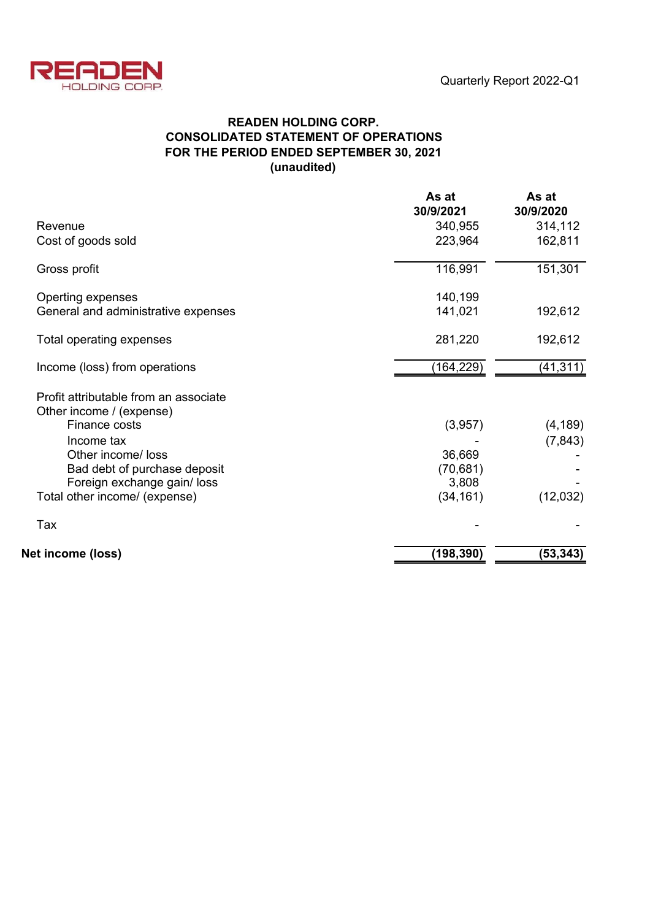

# **READEN HOLDING CORP. CONSOLIDATED STATEMENT OF OPERATIONS FOR THE PERIOD ENDED SEPTEMBER 30, 2021 (unaudited)**

|                                                                   | As at<br>30/9/2021 | As at<br>30/9/2020 |
|-------------------------------------------------------------------|--------------------|--------------------|
| Revenue                                                           | 340,955            | 314,112            |
| Cost of goods sold                                                | 223,964            | 162,811            |
| Gross profit                                                      | 116,991            | 151,301            |
| Operting expenses                                                 | 140,199            |                    |
| General and administrative expenses                               | 141,021            | 192,612            |
| Total operating expenses                                          | 281,220            | 192,612            |
| Income (loss) from operations                                     | (164,229)          | (41, 311)          |
| Profit attributable from an associate<br>Other income / (expense) |                    |                    |
| Finance costs                                                     | (3,957)            | (4, 189)           |
| Income tax                                                        |                    | (7, 843)           |
| Other income/ loss                                                | 36,669             |                    |
| Bad debt of purchase deposit                                      | (70, 681)          |                    |
| Foreign exchange gain/ loss                                       | 3,808              |                    |
| Total other income/ (expense)                                     | (34, 161)          | (12,032)           |
| Tax                                                               |                    |                    |
| Net income (loss)                                                 | (198, 390)         | (53, 343)          |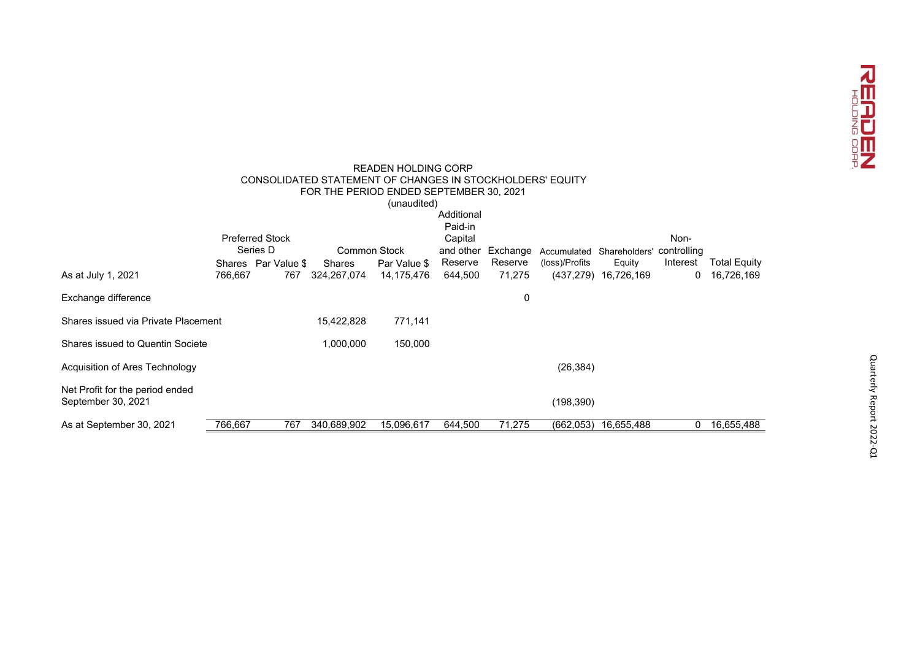

|                                                           |         |                        |                     | <b>READEN HOLDING CORP</b> |            |          |                |                      |             |                     |
|-----------------------------------------------------------|---------|------------------------|---------------------|----------------------------|------------|----------|----------------|----------------------|-------------|---------------------|
| CONSOLIDATED STATEMENT OF CHANGES IN STOCKHOLDERS' EQUITY |         |                        |                     |                            |            |          |                |                      |             |                     |
| FOR THE PERIOD ENDED SEPTEMBER 30, 2021                   |         |                        |                     |                            |            |          |                |                      |             |                     |
|                                                           |         |                        |                     | (unaudited)                | Additional |          |                |                      |             |                     |
|                                                           |         |                        |                     |                            | Paid-in    |          |                |                      |             |                     |
|                                                           |         | <b>Preferred Stock</b> |                     |                            | Capital    |          |                |                      | Non-        |                     |
|                                                           |         | Series D               | <b>Common Stock</b> |                            | and other  | Exchange | Accumulated    | Shareholders'        | controlling |                     |
|                                                           |         | Shares Par Value \$    | Shares              | Par Value \$               | Reserve    | Reserve  | (loss)/Profits | Equity               | Interest    | <b>Total Equity</b> |
| As at July 1, 2021                                        | 766,667 | 767                    | 324,267,074         | 14,175,476                 | 644,500    | 71,275   |                | (437,279) 16,726,169 | 0           | 16,726,169          |
| Exchange difference                                       |         |                        |                     |                            |            | 0        |                |                      |             |                     |
| Shares issued via Private Placement                       |         |                        | 15,422,828          | 771,141                    |            |          |                |                      |             |                     |
| <b>Shares issued to Quentin Societe</b>                   |         |                        | 1,000,000           | 150,000                    |            |          |                |                      |             |                     |
| Acquisition of Ares Technology                            |         |                        |                     |                            |            |          | (26, 384)      |                      |             |                     |
| Net Profit for the period ended<br>September 30, 2021     |         |                        |                     |                            |            |          | (198, 390)     |                      |             |                     |
| As at September 30, 2021                                  | 766,667 | 767                    | 340,689,902         | 15,096,617                 | 644,500    | 71,275   | (662,053)      | 16,655,488           | 0           | 16,655,488          |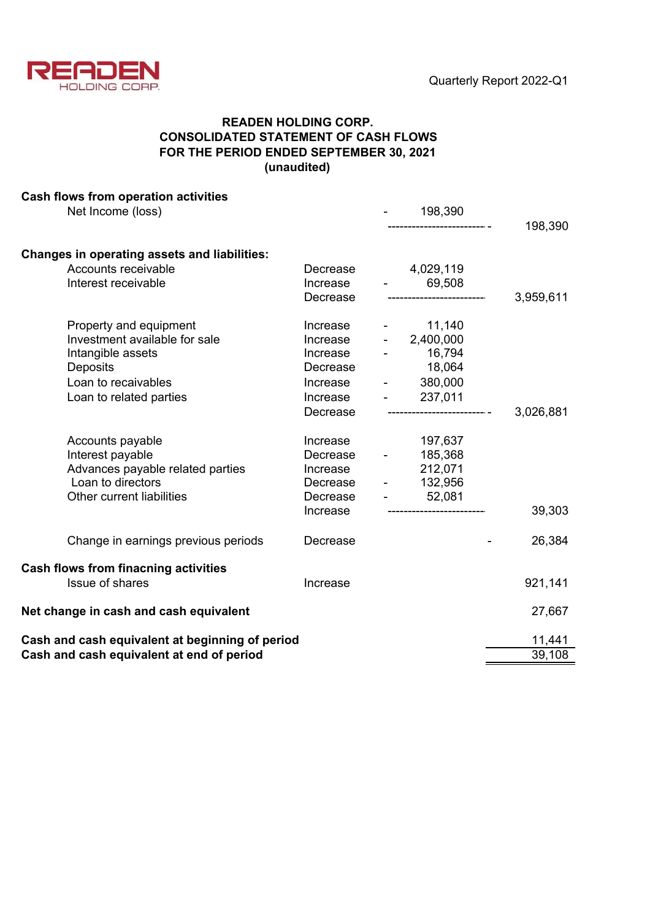

# **READEN HOLDING CORP. CONSOLIDATED STATEMENT OF CASH FLOWS FOR THE PERIOD ENDED SEPTEMBER 30, 2021 (unaudited)**

| Cash flows from operation activities                |          |                     |                                                             |           |
|-----------------------------------------------------|----------|---------------------|-------------------------------------------------------------|-----------|
| Net Income (loss)                                   |          |                     | 198,390                                                     |           |
|                                                     |          |                     |                                                             | 198,390   |
| <b>Changes in operating assets and liabilities:</b> |          |                     |                                                             |           |
| Accounts receivable                                 | Decrease |                     | 4,029,119                                                   |           |
| Interest receivable                                 | Increase |                     | 69,508<br>$\frac{1}{2}$ and $\frac{1}{2}$ and $\frac{1}{2}$ |           |
|                                                     | Decrease |                     |                                                             | 3,959,611 |
| Property and equipment                              | Increase |                     | $- 11,140$                                                  |           |
| Investment available for sale                       | Increase |                     | $-2,400,000$                                                |           |
| Intangible assets                                   | Increase |                     | 16,794                                                      |           |
| Deposits                                            | Decrease |                     | 18,064                                                      |           |
| Loan to recaivables                                 | Increase | $\sim$              | 380,000                                                     |           |
| Loan to related parties                             | Increase |                     | 237,011<br>$\omega_{\rm{max}}$ and $\omega_{\rm{max}}$      |           |
|                                                     | Decrease |                     | ----------------------------                                | 3,026,881 |
| Accounts payable                                    | Increase |                     | 197,637                                                     |           |
| Interest payable                                    | Decrease | $\omega_{\rm{max}}$ | 185,368                                                     |           |
| Advances payable related parties                    | Increase |                     | 212,071                                                     |           |
| Loan to directors                                   | Decrease |                     | $- 132,956$                                                 |           |
| Other current liabilities                           | Decrease |                     | $-52,081$                                                   |           |
|                                                     | Increase |                     |                                                             | 39,303    |
| Change in earnings previous periods                 | Decrease |                     |                                                             | 26,384    |
| <b>Cash flows from finacning activities</b>         |          |                     |                                                             |           |
| <b>Issue of shares</b>                              | Increase |                     |                                                             | 921,141   |
| Net change in cash and cash equivalent              | 27,667   |                     |                                                             |           |
| Cash and cash equivalent at beginning of period     | 11,441   |                     |                                                             |           |
| Cash and cash equivalent at end of period           | 39,108   |                     |                                                             |           |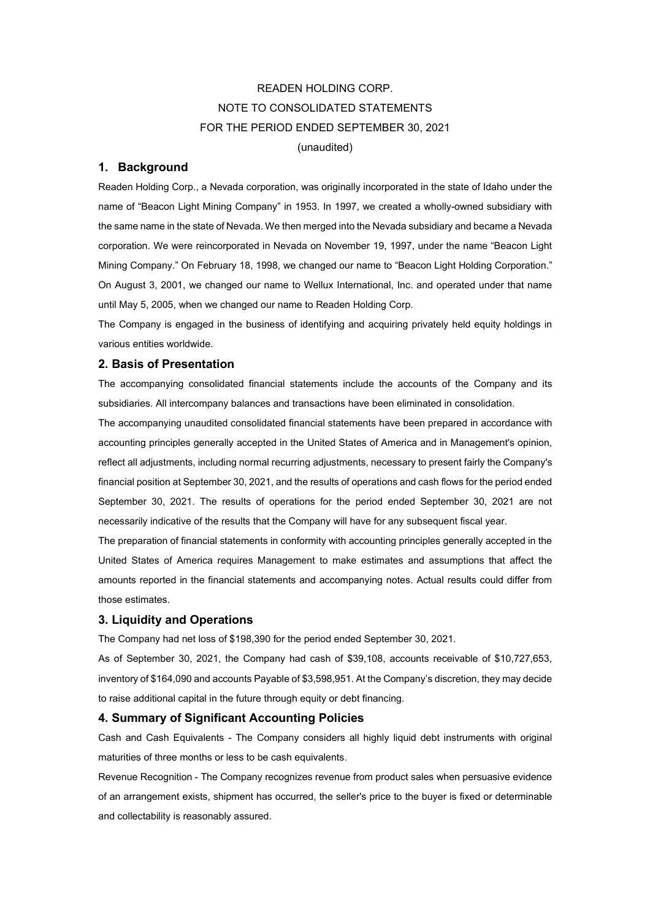# READEN HOLDING CORP. NOTE TO CONSOLIDATED STATEMENTS FOR THE PERIOD ENDED SEPTEMBER 30, 2021 (unaudited)

#### **1. Background**

Readen Holding Corp., a Nevada corporation, was originally incorporated in the state of Idaho under the name of "Beacon Light Mining Company" in 1953. In 1997, we created a wholly-owned subsidiary with the same name in the state of Nevada. We then merged into the Nevada subsidiary and became a Nevada corporation. We were reincorporated in Nevada on November 19, 1997, under the name "Beacon Light Mining Company." On February 18, 1998, we changed our name to "Beacon Light Holding Corporation." On August 3, 2001, we changed our name to Wellux International, Inc. and operated under that name until May 5, 2005, when we changed our name to Readen Holding Corp.

The Company is engaged in the business of identifying and acquiring privately held equity holdings in various entities worldwide.

#### **2. Basis of Presentation**

The accompanying consolidated financial statements include the accounts of the Company and its subsidiaries. All intercompany balances and transactions have been eliminated in consolidation.

The accompanying unaudited consolidated financial statements have been prepared in accordance with accounting principles generally accepted in the United States of America and in Management's opinion, reflect all adjustments, including normal recurring adjustments, necessary to present fairly the Company's financial position at September 30, 2021, and the results of operations and cash flows for the period ended September 30, 2021. The results of operations for the period ended September 30, 2021 are not necessarily indicative of the results that the Company will have for any subsequent fiscal year.

The preparation of financial statements in conformity with accounting principles generally accepted in the United States of America requires Management to make estimates and assumptions that affect the amounts reported in the financial statements and accompanying notes. Actual results could differ from those estimates.

#### **3. Liquidity and Operations**

The Company had net loss of \$198,390 for the period ended September 30, 2021.

As of September 30, 2021, the Company had cash of \$39,108, accounts receivable of \$10,727,653, inventory of \$164,090 and accounts Payable of \$3,598,951. At the Company's discretion, they may decide to raise additional capital in the future through equity or debt financing.

#### **4. Summary of Significant Accounting Policies**

Cash and Cash Equivalents - The Company considers all highly liquid debt instruments with original maturities of three months or less to be cash equivalents.

Revenue Recognition - The Company recognizes revenue from product sales when persuasive evidence of an arrangement exists, shipment has occurred, the seller's price to the buyer is fixed or determinable and collectability is reasonably assured.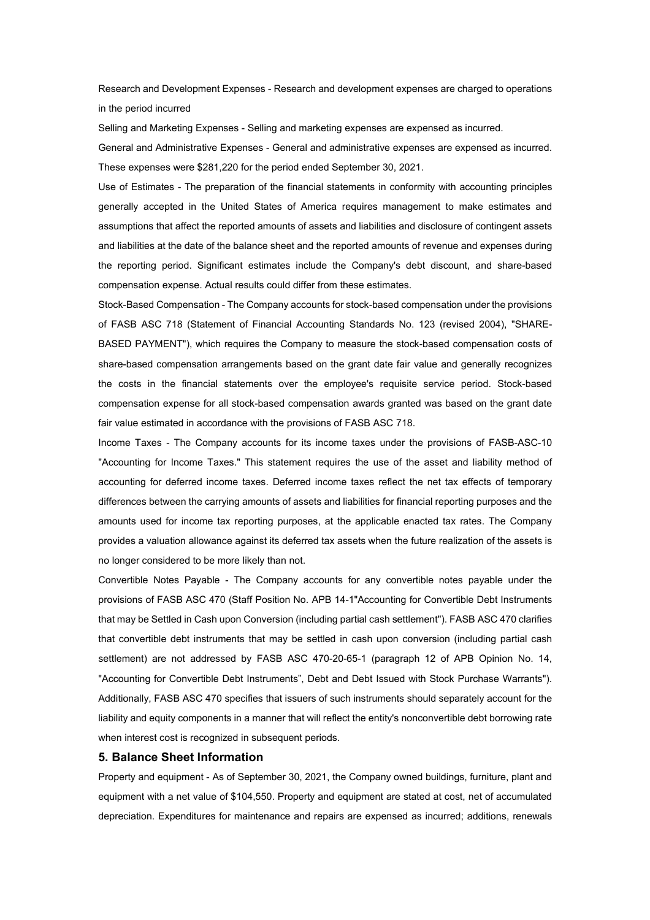Research and Development Expenses - Research and development expenses are charged to operations in the period incurred

Selling and Marketing Expenses - Selling and marketing expenses are expensed as incurred.

General and Administrative Expenses - General and administrative expenses are expensed as incurred. These expenses were \$281,220 for the period ended September 30, 2021.

Use of Estimates - The preparation of the financial statements in conformity with accounting principles generally accepted in the United States of America requires management to make estimates and assumptions that affect the reported amounts of assets and liabilities and disclosure of contingent assets and liabilities at the date of the balance sheet and the reported amounts of revenue and expenses during the reporting period. Significant estimates include the Company's debt discount, and share-based compensation expense. Actual results could differ from these estimates.

Stock-Based Compensation - The Company accounts for stock-based compensation under the provisions of FASB ASC 718 (Statement of Financial Accounting Standards No. 123 (revised 2004), "SHARE-BASED PAYMENT"), which requires the Company to measure the stock-based compensation costs of share-based compensation arrangements based on the grant date fair value and generally recognizes the costs in the financial statements over the employee's requisite service period. Stock-based compensation expense for all stock-based compensation awards granted was based on the grant date fair value estimated in accordance with the provisions of FASB ASC 718.

Income Taxes - The Company accounts for its income taxes under the provisions of FASB-ASC-10 "Accounting for Income Taxes." This statement requires the use of the asset and liability method of accounting for deferred income taxes. Deferred income taxes reflect the net tax effects of temporary differences between the carrying amounts of assets and liabilities for financial reporting purposes and the amounts used for income tax reporting purposes, at the applicable enacted tax rates. The Company provides a valuation allowance against its deferred tax assets when the future realization of the assets is no longer considered to be more likely than not.

Convertible Notes Payable - The Company accounts for any convertible notes payable under the provisions of FASB ASC 470 (Staff Position No. APB 14-1"Accounting for Convertible Debt Instruments that may be Settled in Cash upon Conversion (including partial cash settlement"). FASB ASC 470 clarifies that convertible debt instruments that may be settled in cash upon conversion (including partial cash settlement) are not addressed by FASB ASC 470-20-65-1 (paragraph 12 of APB Opinion No. 14, "Accounting for Convertible Debt Instruments", Debt and Debt Issued with Stock Purchase Warrants"). Additionally, FASB ASC 470 specifies that issuers of such instruments should separately account for the liability and equity components in a manner that will reflect the entity's nonconvertible debt borrowing rate when interest cost is recognized in subsequent periods.

#### **5. Balance Sheet Information**

Property and equipment - As of September 30, 2021, the Company owned buildings, furniture, plant and equipment with a net value of \$104,550. Property and equipment are stated at cost, net of accumulated depreciation. Expenditures for maintenance and repairs are expensed as incurred; additions, renewals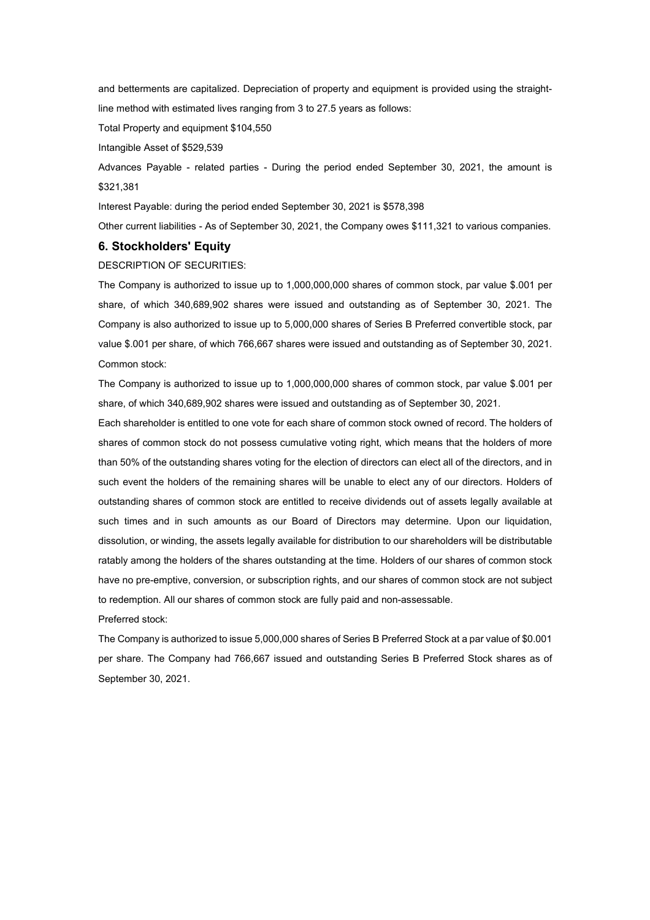and betterments are capitalized. Depreciation of property and equipment is provided using the straightline method with estimated lives ranging from 3 to 27.5 years as follows:

Total Property and equipment \$104,550

Intangible Asset of \$529,539

Advances Payable - related parties - During the period ended September 30, 2021, the amount is \$321,381

Interest Payable: during the period ended September 30, 2021 is \$578,398

Other current liabilities - As of September 30, 2021, the Company owes \$111,321 to various companies.

#### **6. Stockholders' Equity**

DESCRIPTION OF SECURITIES:

The Company is authorized to issue up to 1,000,000,000 shares of common stock, par value \$.001 per share, of which 340,689,902 shares were issued and outstanding as of September 30, 2021. The Company is also authorized to issue up to 5,000,000 shares of Series B Preferred convertible stock, par value \$.001 per share, of which 766,667 shares were issued and outstanding as of September 30, 2021. Common stock:

The Company is authorized to issue up to 1,000,000,000 shares of common stock, par value \$.001 per share, of which 340,689,902 shares were issued and outstanding as of September 30, 2021.

Each shareholder is entitled to one vote for each share of common stock owned of record. The holders of shares of common stock do not possess cumulative voting right, which means that the holders of more than 50% of the outstanding shares voting for the election of directors can elect all of the directors, and in such event the holders of the remaining shares will be unable to elect any of our directors. Holders of outstanding shares of common stock are entitled to receive dividends out of assets legally available at such times and in such amounts as our Board of Directors may determine. Upon our liquidation, dissolution, or winding, the assets legally available for distribution to our shareholders will be distributable ratably among the holders of the shares outstanding at the time. Holders of our shares of common stock have no pre-emptive, conversion, or subscription rights, and our shares of common stock are not subject to redemption. All our shares of common stock are fully paid and non-assessable.

Preferred stock:

The Company is authorized to issue 5,000,000 shares of Series B Preferred Stock at a par value of \$0.001 per share. The Company had 766,667 issued and outstanding Series B Preferred Stock shares as of September 30, 2021.